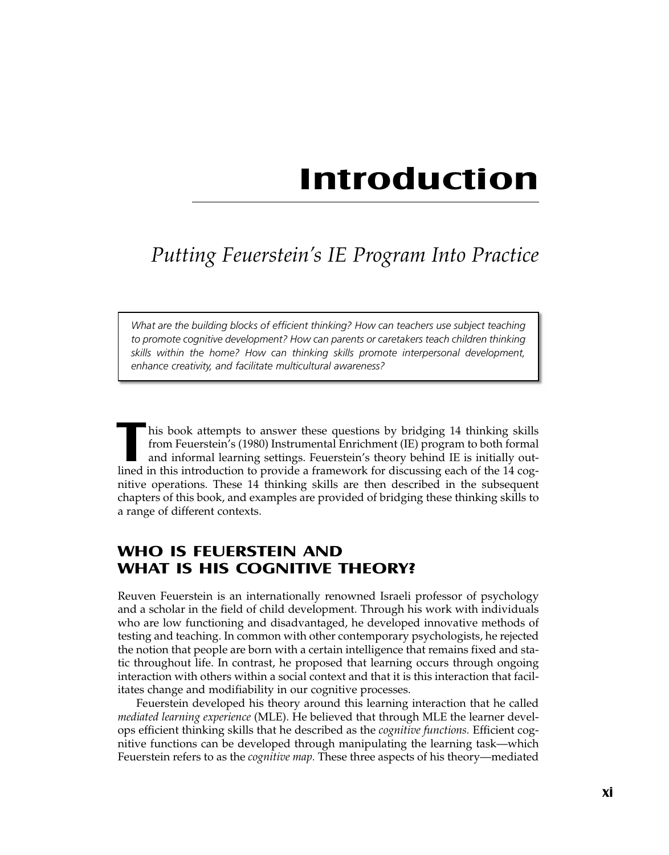# **Introduction**

# *Putting Feuerstein ' s IE Program Into Practice*

*What are the building blocks of efficient thinking? How can teachers use subject teaching to promote cognitive development? How can parents or caretakers teach children thinking skills within the home? How can thinking skills promote interpersonal development, enhance creativity, and facilitate multicultural awareness?*

**T** his book attempts to answer these questions by bridging <sup>14</sup> thinking skills from Feuerstein's (1980) Instrumental Enrichment (IE) program to both formal and informal learning settings. Feuerstein's theory behind IE is initially outlined in this introduction to provide a framework for discussing each of the 14 cognitive operations. These 14 thinking skills are then described in the subsequent chapters of this book, and examples are provided of bridging these thinking skills to a range of different contexts.

# **WHO IS FEUERSTEIN AND WHAT IS HIS COGNITIVE THEORY?**

Reuven Feuerstein is an internationally renowned Israeli professor of psychology and a scholar in the field of child development. Through his work with individuals who are low functioning and disadvantaged, he developed innovative methods of testing and teaching. In common with other contemporary psychologists, he rejected the notion that people are born with a certain intelligence that remains fixed and static throughout life. In contrast, he proposed that learning occurs through ongoing interaction with others within a social context and that it is this interaction that facilitates change and modifiability in our cognitive processes.

Feuerstein developed his theory around this learning interaction that he called *mediated learning experience* (MLE). He believed that through MLE the learner develops efficient thinking skills that he described as the *cognitive functions.* Efficient cognitive functions can be developed through manipulating the learning task—which Feuerstein refers to as the *cognitive map.* These three aspects of his theory—mediated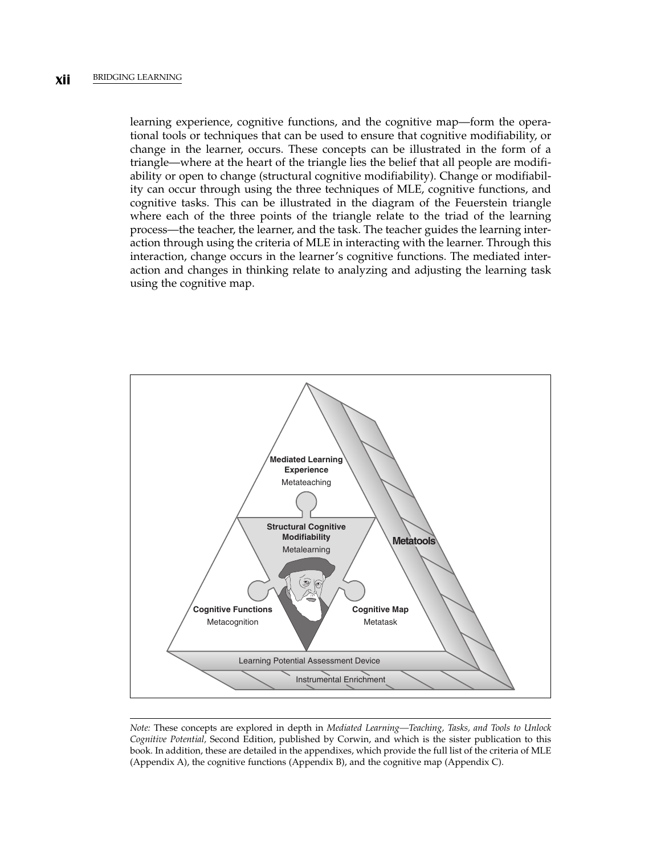learning experience, cognitive functions, and the cognitive map—form the operational tools or techniques that can be used to ensure that cognitive modifiability, or change in the learner, occurs. These concepts can be illustrated in the form of a triangle—where at the heart of the triangle lies the belief that all people are modifiability or open to change (structural cognitive modifiability). Change or modifiability can occur through using the three techniques of MLE, cognitive functions, and cognitive tasks. This can be illustrated in the diagram of the Feuerstein triangle where each of the three points of the triangle relate to the triad of the learning process—the teacher, the learner, and the task. The teacher guides the learning interaction through using the criteria of MLE in interacting with the learner. Through this interaction, change occurs in the learner's cognitive functions. The mediated interaction and changes in thinking relate to analyzing and adjusting the learning task using the cognitive map.



*Note:* These concepts are explored in depth in *Mediated Learning—Teaching, Tasks, and Tools to Unlock Cognitive Potential,* Second Edition, published by Corwin, and which is the sister publication to this book. In addition, these are detailed in the appendixes, which provide the full list of the criteria of MLE (Appendix A), the cognitive functions (Appendix B), and the cognitive map (Appendix C).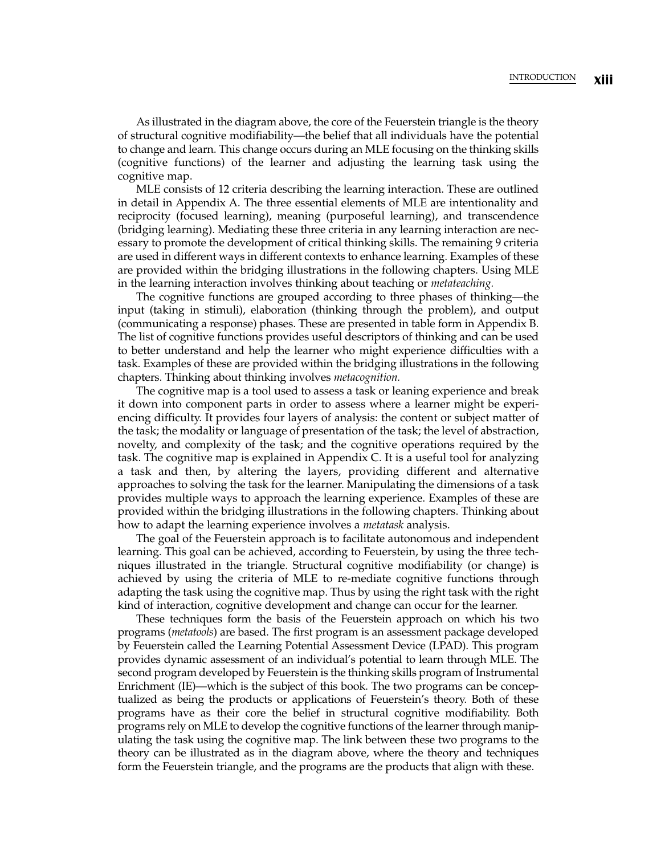As illustrated in the diagram above, the core of the Feuerstein triangle is the theory of structural cognitive modifiability—the belief that all individuals have the potential to change and learn. This change occurs during an MLE focusing on the thinking skills (cognitive functions) of the learner and adjusting the learning task using the cognitive map.

MLE consists of 12 criteria describing the learning interaction. These are outlined in detail in Appendix A. The three essential elements of MLE are intentionality and reciprocity (focused learning), meaning (purposeful learning), and transcendence (bridging learning). Mediating these three criteria in any learning interaction are necessary to promote the development of critical thinking skills. The remaining 9 criteria are used in different ways in different contexts to enhance learning. Examples of these are provided within the bridging illustrations in the following chapters. Using MLE in the learning interaction involves thinking about teaching or *metateaching.*

The cognitive functions are grouped according to three phases of thinking—the input (taking in stimuli), elaboration (thinking through the problem), and output (communicating a response) phases. These are presented in table form in Appendix B. The list of cognitive functions provides useful descriptors of thinking and can be used to better understand and help the learner who might experience difficulties with a task. Examples of these are provided within the bridging illustrations in the following chapters. Thinking about thinking involves *metacognition.*

The cognitive map is a tool used to assess a task or leaning experience and break it down into component parts in order to assess where a learner might be experiencing difficulty. It provides four layers of analysis: the content or subject matter of the task; the modality or language of presentation of the task; the level of abstraction, novelty, and complexity of the task; and the cognitive operations required by the task. The cognitive map is explained in Appendix C. It is a useful tool for analyzing a task and then, by altering the layers, providing different and alternative approaches to solving the task for the learner. Manipulating the dimensions of a task provides multiple ways to approach the learning experience. Examples of these are provided within the bridging illustrations in the following chapters. Thinking about how to adapt the learning experience involves a *metatask* analysis.

The goal of the Feuerstein approach is to facilitate autonomous and independent learning. This goal can be achieved, according to Feuerstein, by using the three techniques illustrated in the triangle. Structural cognitive modifiability (or change) is achieved by using the criteria of MLE to re-mediate cognitive functions through adapting the task using the cognitive map. Thus by using the right task with the right kind of interaction, cognitive development and change can occur for the learner.

These techniques form the basis of the Feuerstein approach on which his two programs (*metatools*) are based. The first program is an assessment package developed by Feuerstein called the Learning Potential Assessment Device (LPAD). This program provides dynamic assessment of an individual's potential to learn through MLE. The second program developed by Feuerstein is the thinking skills program of Instrumental Enrichment (IE)—which is the subject of this book. The two programs can be conceptualized as being the products or applications of Feuerstein's theory. Both of these programs have as their core the belief in structural cognitive modifiability. Both programs rely on MLE to develop the cognitive functions of the learner through manipulating the task using the cognitive map. The link between these two programs to the theory can be illustrated as in the diagram above, where the theory and techniques form the Feuerstein triangle, and the programs are the products that align with these.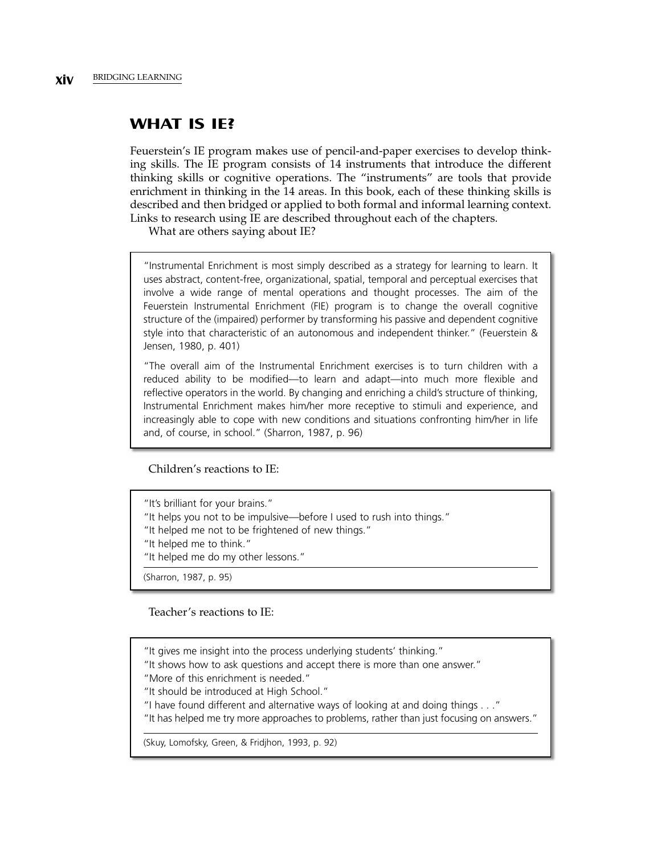# **WHAT IS IE?**

Feuerstein's IE program makes use of pencil-and-paper exercises to develop thinking skills. The IE program consists of 14 instruments that introduce the different thinking skills or cognitive operations. The "instruments" are tools that provide enrichment in thinking in the 14 areas. In this book, each of these thinking skills is described and then bridged or applied to both formal and informal learning context. Links to research using IE are described throughout each of the chapters.

What are others saying about IE?

"Instrumental Enrichment is most simply described as a strategy for learning to learn. It uses abstract, content-free, organizational, spatial, temporal and perceptual exercises that involve a wide range of mental operations and thought processes. The aim of the Feuerstein Instrumental Enrichment (FIE) program is to change the overall cognitive structure of the (impaired) performer by transforming his passive and dependent cognitive style into that characteristic of an autonomous and independent thinker." (Feuerstein & Jensen, 1980, p. 401)

"The overall aim of the Instrumental Enrichment exercises is to turn children with a reduced ability to be modified—to learn and adapt—into much more flexible and reflective operators in the world. By changing and enriching a child's structure of thinking, Instrumental Enrichment makes him/her more receptive to stimuli and experience, and increasingly able to cope with new conditions and situations confronting him/her in life and, of course, in school." (Sharron, 1987, p. 96)

#### Children's reactions to IE:

"It's brilliant for your brains." "It helps you not to be impulsive—before I used to rush into things." "It helped me not to be frightened of new things." "It helped me to think." "It helped me do my other lessons." (Sharron, 1987, p. 95)

#### Teacher's reactions to IE:

"It gives me insight into the process underlying students' thinking."

"It shows how to ask questions and accept there is more than one answer."

"More of this enrichment is needed."

"It should be introduced at High School."

"I have found different and alternative ways of looking at and doing things . . ."

"It has helped me try more approaches to problems, rather than just focusing on answers."

(Skuy, Lomofsky, Green, & Fridjhon, 1993, p. 92)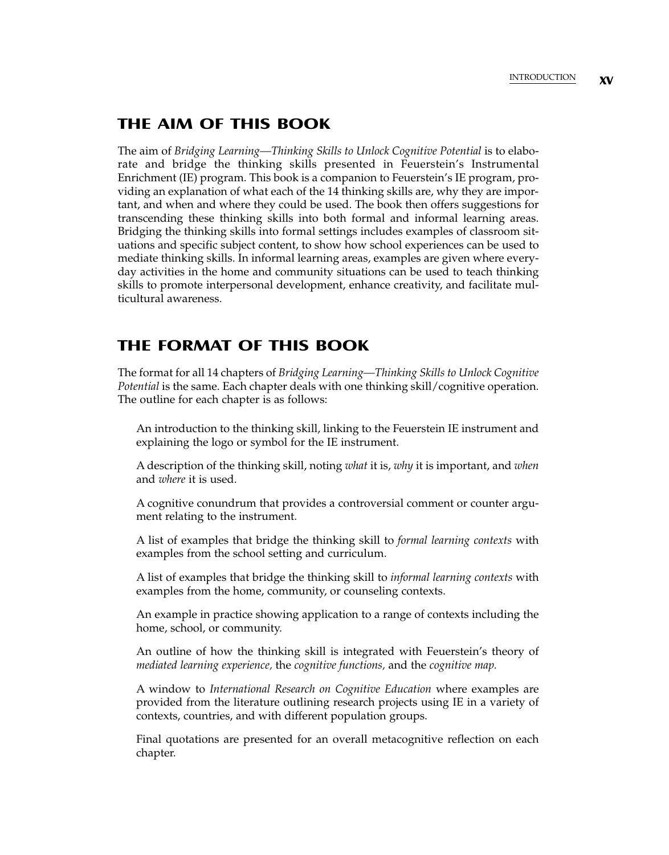## **THE AIM OF THIS BOOK**

The aim of *Bridging Learning—Thinking Skills to Unlock Cognitive Potential* is to elaborate and bridge the thinking skills presented in Feuerstein's Instrumental Enrichment (IE) program. This book is a companion to Feuerstein's IE program, providing an explanation of what each of the 14 thinking skills are, why they are important, and when and where they could be used. The book then offers suggestions for transcending these thinking skills into both formal and informal learning areas. Bridging the thinking skills into formal settings includes examples of classroom situations and specific subject content, to show how school experiences can be used to mediate thinking skills. In informal learning areas, examples are given where everyday activities in the home and community situations can be used to teach thinking skills to promote interpersonal development, enhance creativity, and facilitate multicultural awareness.

# **THE FORMAT OF THIS BOOK**

The format for all 14 chapters of *Bridging Learning—Thinking Skills to Unlock Cognitive Potential* is the same. Each chapter deals with one thinking skill/cognitive operation. The outline for each chapter is as follows:

An introduction to the thinking skill, linking to the Feuerstein IE instrument and explaining the logo or symbol for the IE instrument.

A description of the thinking skill, noting *what* it is, *why* it is important, and *when* and *where* it is used.

A cognitive conundrum that provides a controversial comment or counter argument relating to the instrument.

A list of examples that bridge the thinking skill to *formal learning contexts* with examples from the school setting and curriculum.

A list of examples that bridge the thinking skill to *informal learning contexts* with examples from the home, community, or counseling contexts.

An example in practice showing application to a range of contexts including the home, school, or community.

An outline of how the thinking skill is integrated with Feuerstein's theory of *mediated learning experience,* the *cognitive functions,* and the *cognitive map.*

A window to *International Research on Cognitive Education* where examples are provided from the literature outlining research projects using IE in a variety of contexts, countries, and with different population groups.

Final quotations are presented for an overall metacognitive reflection on each chapter.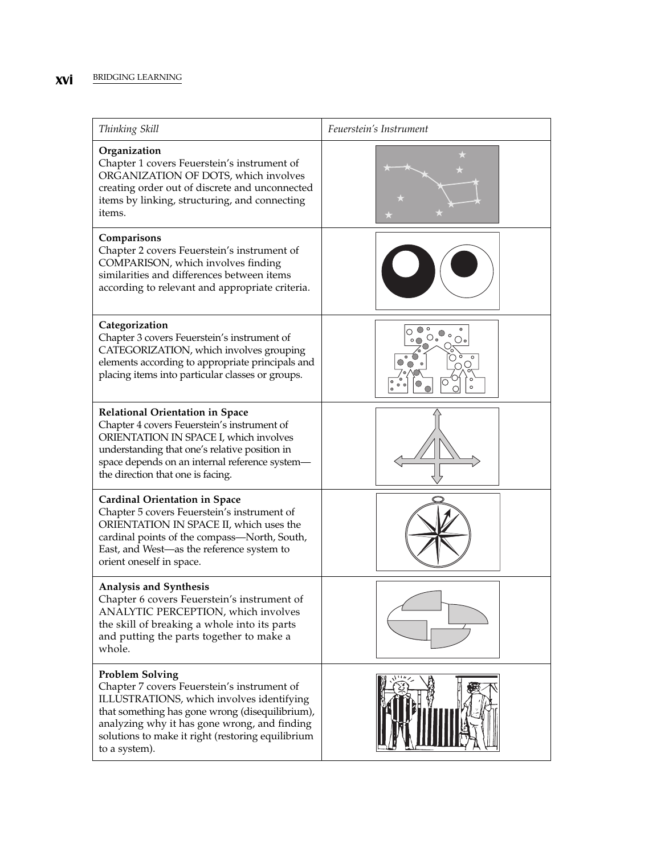### **xvi** BRIDGING LEARNING

| Thinking Skill                                                                                                                                                                                                                                                                              | Feuerstein's Instrument                                       |
|---------------------------------------------------------------------------------------------------------------------------------------------------------------------------------------------------------------------------------------------------------------------------------------------|---------------------------------------------------------------|
| Organization<br>Chapter 1 covers Feuerstein's instrument of<br>ORGANIZATION OF DOTS, which involves<br>creating order out of discrete and unconnected<br>items by linking, structuring, and connecting<br>items.                                                                            |                                                               |
| Comparisons<br>Chapter 2 covers Feuerstein's instrument of<br>COMPARISON, which involves finding<br>similarities and differences between items<br>according to relevant and appropriate criteria.                                                                                           |                                                               |
| Categorization<br>Chapter 3 covers Feuerstein's instrument of<br>CATEGORIZATION, which involves grouping<br>elements according to appropriate principals and<br>placing items into particular classes or groups.                                                                            | $\frac{1}{2}$ $\frac{1}{2}$ $\frac{1}{2}$ $\frac{1}{2}$<br>⊖∙ |
| <b>Relational Orientation in Space</b><br>Chapter 4 covers Feuerstein's instrument of<br>ORIENTATION IN SPACE I, which involves<br>understanding that one's relative position in<br>space depends on an internal reference system-<br>the direction that one is facing.                     |                                                               |
| <b>Cardinal Orientation in Space</b><br>Chapter 5 covers Feuerstein's instrument of<br>ORIENTATION IN SPACE II, which uses the<br>cardinal points of the compass—North, South,<br>East, and West-as the reference system to<br>orient oneself in space.                                     |                                                               |
| Analysis and Synthesis<br>Chapter 6 covers Feuerstein's instrument of<br>ANALYTIC PERCEPTION, which involves<br>the skill of breaking a whole into its parts<br>and putting the parts together to make a<br>whole.                                                                          |                                                               |
| <b>Problem Solving</b><br>Chapter 7 covers Feuerstein's instrument of<br>ILLUSTRATIONS, which involves identifying<br>that something has gone wrong (disequilibrium),<br>analyzing why it has gone wrong, and finding<br>solutions to make it right (restoring equilibrium<br>to a system). |                                                               |